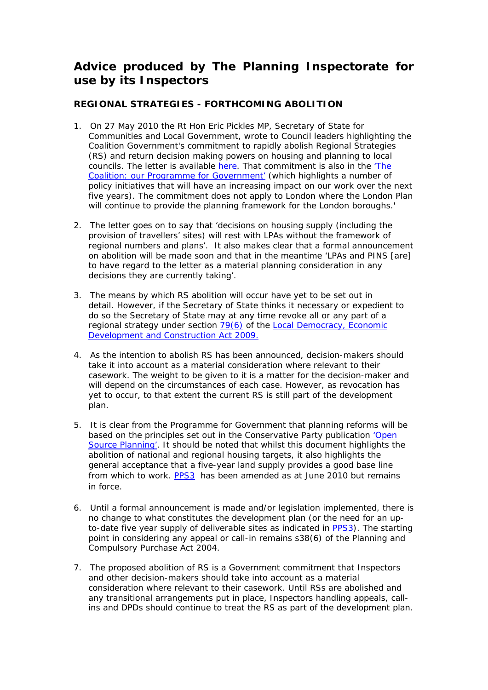# **Advice produced by The Planning Inspectorate for use by its Inspectors**

# **REGIONAL STRATEGIES - FORTHCOMING ABOLITION**

- 1. On 27 May 2010 the Rt Hon Eric Pickles MP, Secretary of State for Communities and Local Government, wrote to Council leaders highlighting the Coalition Government's commitment to rapidly abolish Regional Strategies (RS) and return decision making powers on housing and planning to local councils. The letter is available [here](http://www.planning-inspectorate.gov.uk/pins/rss/10-05-27%20-%20SofS%20to%20Council%20Leaders%20-%20Abolition%20of%20Regional%20Strategies.pdf). That commitment is also in the 'The [Coalition: our Programme for Government'](http://www.cabinetoffice.gov.uk/media/409088/pfg_coalition.pdf) (which highlights a number of policy initiatives that will have an increasing impact on our work over the next five years). The commitment does not apply to London where the London Plan will continue to provide the planning framework for the London boroughs.'
- 2. The letter goes on to say that 'decisions on housing supply (including the provision of travellers' sites) will rest with LPAs without the framework of regional numbers and plans'. It also makes clear that a formal announcement on abolition will be made soon and that in the meantime 'LPAs and PINS [are] to have regard to the letter as a material planning consideration in any decisions they are currently taking'.
- 3. The means by which RS abolition will occur have yet to be set out in detail. However, if the Secretary of State thinks it necessary or expedient to do so the Secretary of State may at any time revoke all or any part of a regional strategy under section [79\(6\)](http://www.opsi.gov.uk/acts/acts2009/ukpga_20090020_en_8#pt5-pb4-l1g79) of [th](http://www.opsi.gov.uk/acts/acts2009/ukpga_20090020_en_1)e [Local Democracy, Economic](http://www.opsi.gov.uk/acts/acts2009/ukpga_20090020_en_1)  [Development and Construction Act 2009.](http://www.opsi.gov.uk/acts/acts2009/ukpga_20090020_en_1)
- 4. As the intention to abolish RS has been announced, decision-makers should take it into account as a material consideration where relevant to their casework. The weight to be given to it is a matter for the decision-maker and will depend on the circumstances of each case. However, as revocation has yet to occur, to that extent the current RS is still part of the development plan.
- 5. It is clear from the Programme for Government that planning reforms will be based on the principles set out in the Conservative Party publication ['Open](http://www.conservatives.com/news/news_stories/2010/02/%7E/media/Files/Green%20Papers/planning-green-paper.ashx)  [Source Planning'.](http://www.conservatives.com/news/news_stories/2010/02/%7E/media/Files/Green%20Papers/planning-green-paper.ashx) It should be noted that whilst this document highlights the abolition of national and regional housing targets, it also highlights the general acceptance that a five-year land supply provides a good base line from which to work. [PPS3](http://www.communities.gov.uk/publications/planningandbuilding/pps3housing) has been amended as at June 2010 but remains in force.
- 6. Until a formal announcement is made and/or legislation implemented, there is no change to what constitutes the development plan (or the need for an upto-date five year supply of deliverable sites as indicated in [PPS3](http://www.communities.gov.uk/publications/planningandbuilding/pps3housing)). The starting point in considering any appeal or call-in remains s38(6) of the Planning and Compulsory Purchase Act 2004.
- 7. The proposed abolition of RS is a Government commitment that Inspectors and other decision-makers should take into account as a material consideration where relevant to their casework. Until RSs are abolished and any transitional arrangements put in place, Inspectors handling appeals, callins and DPDs should continue to treat the RS as part of the development plan.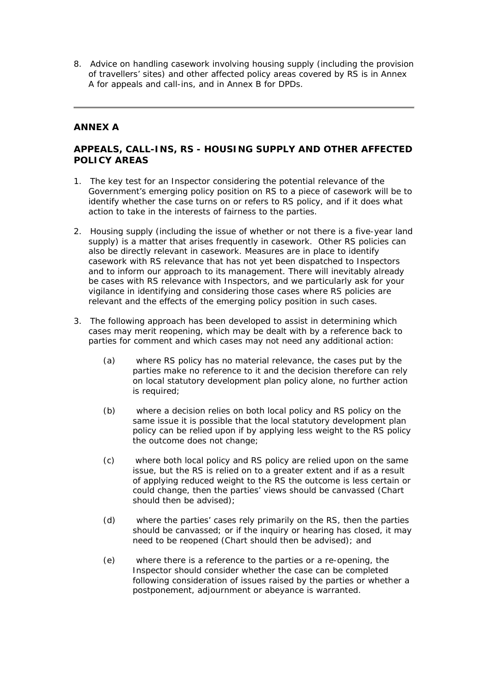8. Advice on handling casework involving housing supply (including the provision of travellers' sites) and other affected policy areas covered by RS is in Annex A for appeals and call-ins, and in Annex B for DPDs.

# **ANNEX A**

# **APPEALS, CALL-INS, RS - HOUSING SUPPLY AND OTHER AFFECTED POLICY AREAS**

- 1. The key test for an Inspector considering the potential relevance of the Government's emerging policy position on RS to a piece of casework will be to identify whether the case turns on or refers to RS policy, and if it does what action to take in the interests of fairness to the parties.
- 2. Housing supply (including the issue of whether or not there is a five-year land supply) is a matter that arises frequently in casework. Other RS policies can also be directly relevant in casework. Measures are in place to identify casework with RS relevance that has not yet been dispatched to Inspectors and to inform our approach to its management. There will inevitably already be cases with RS relevance with Inspectors, and we particularly ask for your vigilance in identifying and considering those cases where RS policies are relevant and the effects of the emerging policy position in such cases.
- 3. The following approach has been developed to assist in determining which cases may merit reopening, which may be dealt with by a reference back to parties for comment and which cases may not need any additional action:
	- (a) where RS policy has no material relevance, the cases put by the parties make no reference to it and the decision therefore can rely on local statutory development plan policy alone, no further action is required;
	- (b) where a decision relies on both local policy and RS policy on the same issue it is possible that the local statutory development plan policy can be relied upon if by applying less weight to the RS policy the outcome does not change;
	- (c) where both local policy and RS policy are relied upon on the same issue, but the RS is relied on to a greater extent and if as a result of applying reduced weight to the RS the outcome is less certain or could change, then the parties' views should be canvassed (Chart should then be advised);
	- (d) where the parties' cases rely primarily on the RS, then the parties should be canvassed; or if the inquiry or hearing has closed, it may need to be reopened (Chart should then be advised); and
	- (e) where there is a reference to the parties or a re-opening, the Inspector should consider whether the case can be completed following consideration of issues raised by the parties or whether a postponement, adjournment or abeyance is warranted.